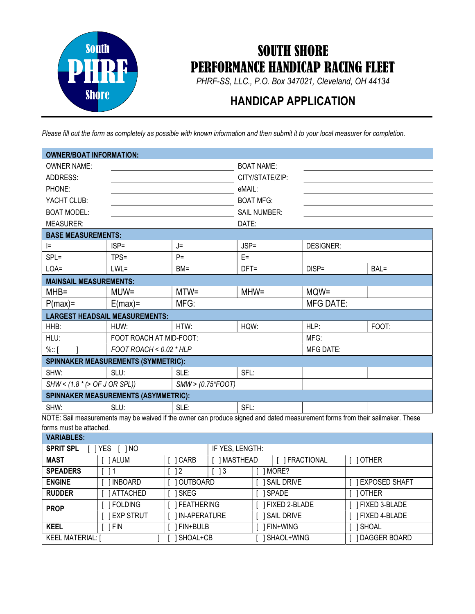

## SOUTH SHORE PERFORMANCE HANDICAP RACING FLEET

PHRF-SS, LLC., P.O. Box 347021, Cleveland, OH 44134

## HANDICAP APPLICATION

Please fill out the form as completely as possible with known information and then submit it to your local measurer for completion.

| <b>OWNER/BOAT INFORMATION:</b>                         |         |                     |                  |                                                                                                                                            |  |  |  |
|--------------------------------------------------------|---------|---------------------|------------------|--------------------------------------------------------------------------------------------------------------------------------------------|--|--|--|
|                                                        |         | <b>BOAT NAME:</b>   |                  |                                                                                                                                            |  |  |  |
|                                                        |         | CITY/STATE/ZIP:     |                  |                                                                                                                                            |  |  |  |
|                                                        |         | eMAIL:              |                  |                                                                                                                                            |  |  |  |
|                                                        |         | <b>BOAT MFG:</b>    |                  |                                                                                                                                            |  |  |  |
|                                                        |         | <b>SAIL NUMBER:</b> |                  |                                                                                                                                            |  |  |  |
|                                                        |         | DATE:               |                  |                                                                                                                                            |  |  |  |
| <b>BASE MEASUREMENTS:</b>                              |         |                     |                  |                                                                                                                                            |  |  |  |
| $ISP =$                                                | J=      | $JSP =$             | <b>DESIGNER:</b> |                                                                                                                                            |  |  |  |
| TPS=                                                   | $P =$   | $E =$               |                  |                                                                                                                                            |  |  |  |
| $LWL =$                                                | $BM =$  | $DFT =$             | $DISP =$         | BAL=                                                                                                                                       |  |  |  |
| <b>MAINSAIL MEASUREMENTS:</b>                          |         |                     |                  |                                                                                                                                            |  |  |  |
| $MUW =$                                                | $MTW =$ | $MHW =$             | MQW=             |                                                                                                                                            |  |  |  |
| $E(max) =$                                             | MFG:    |                     | <b>MFG DATE:</b> |                                                                                                                                            |  |  |  |
| <b>LARGEST HEADSAIL MEASUREMENTS:</b>                  |         |                     |                  |                                                                                                                                            |  |  |  |
| HUW:                                                   | HTW:    | HQW:                | HLP:             | FOOT:                                                                                                                                      |  |  |  |
| FOOT ROACH AT MID-FOOT:                                |         |                     | MFG:             |                                                                                                                                            |  |  |  |
| FOOT ROACH < $0.02$ * HLP                              |         |                     | <b>MFG DATE:</b> |                                                                                                                                            |  |  |  |
| <b>SPINNAKER MEASUREMENTS (SYMMETRIC):</b>             |         |                     |                  |                                                                                                                                            |  |  |  |
| SLU:                                                   | SLE:    | SFL:                |                  |                                                                                                                                            |  |  |  |
| $SHW < (1.8 * (> OF J OR SPI))$<br>$SMW > (0.75*FOOT)$ |         |                     |                  |                                                                                                                                            |  |  |  |
| <b>SPINNAKER MEASUREMENTS (ASYMMETRIC):</b>            |         |                     |                  |                                                                                                                                            |  |  |  |
| SLU:                                                   | SLE:    | SFL:                |                  |                                                                                                                                            |  |  |  |
|                                                        |         |                     |                  | $\overline{MATE}$ Cail measurements may be waived if the evrees can produce signed and dated measurement forms from their soilmeker. These |  |  |  |

NOTE: Sail measurements may be waived if the owner can produce signed and dated measurement forms from their sailmaker. These forms must be attached.

| <b>VARIABLES:</b>                      |                  |                   |                            |                   |            |                      |  |
|----------------------------------------|------------------|-------------------|----------------------------|-------------------|------------|----------------------|--|
| <b>SPRIT SPL</b><br><b>YES</b><br>1 NO |                  | IF YES, LENGTH:   |                            |                   |            |                      |  |
| <b>MAST</b>                            | 1 ALUM           | 1 CARB            | MASTHEAD                   |                   | FRACTIONAL | 10THER               |  |
| <b>SPEADERS</b>                        | -1               | 2                 | $\overline{\phantom{0}}$ 3 |                   | MORE?      |                      |  |
| <b>ENGINE</b>                          | INBOARD          | OUTBOARD          |                            | <b>SAIL DRIVE</b> |            | <b>EXPOSED SHAFT</b> |  |
| <b>RUDDER</b>                          | ATTACHED         | SKEG              |                            | SPADE             |            | OTHER                |  |
| <b>PROP</b>                            | <b>FOLDING</b>   | <b>FEATHERING</b> |                            | FIXED 2-BLADE     |            | FIXED 3-BLADE        |  |
|                                        | <b>EXP STRUT</b> | IN-APERATURE      |                            | <b>SAIL DRIVE</b> |            | <b>FIXED 4-BLADE</b> |  |
| <b>KEEL</b>                            | FIN              | FIN+BULB          |                            | FIN+WING          |            | SHOAL                |  |
| KEEL MATERIAL: [                       |                  | SHOAL+CB          |                            |                   | SHAOL+WING | DAGGER BOARD         |  |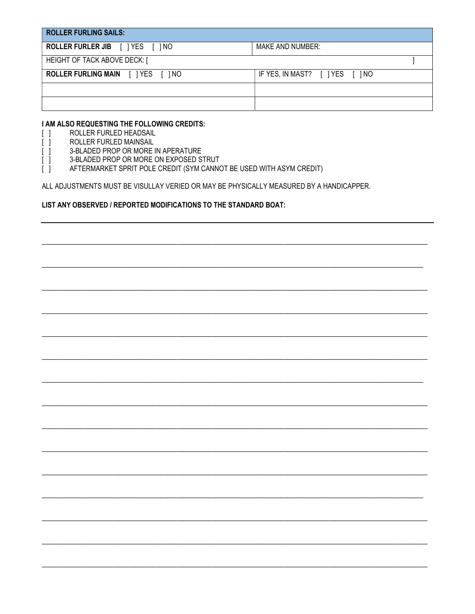| <b>ROLLER FURLING SAILS:</b>              |                                 |
|-------------------------------------------|---------------------------------|
| <b>ROLLER FURLER JIB</b>     YES     INO  | MAKE AND NUMBER:                |
| HEIGHT OF TACK ABOVE DECK: [              |                                 |
| <b>ROLLER FURLING MAIN</b> [ ] YES [ ] NO | IF YES, IN MAST? [ ] YES [ ] NO |
|                                           |                                 |
|                                           |                                 |

#### I AM ALSO REQUESTING THE FOLLOWING CREDITS:

- ROLLER FURLED HEADSAIL  $\Box$
- ROLLER FURLED MAINSAIL  $\begin{bmatrix} \end{bmatrix}$

ſ

- j. 3-BLADED PROP OR MORE IN APERATURE
- 3-BLADED PROP OR MORE ON EXPOSED STRUT
- $\begin{bmatrix} 1 \end{bmatrix}$ AFTERMARKET SPRIT POLE CREDIT (SYM CANNOT BE USED WITH ASYM CREDIT)

ALL ADJUSTMENTS MUST BE VISULLAY VERIED OR MAY BE PHYSICALLY MEASURED BY A HANDICAPPER.

#### LIST ANY OBSERVED / REPORTED MODIFICATIONS TO THE STANDARD BOAT: